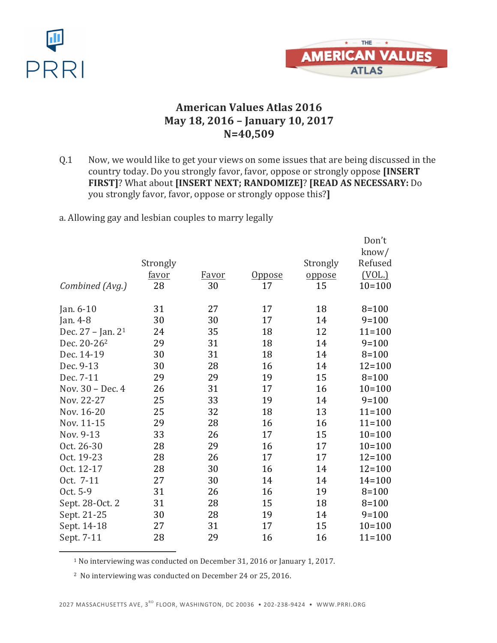



### **American Values Atlas 2016 May 18, 2016 – January 10, 2017 N=40,509**

Q.1 Now, we would like to get your views on some issues that are being discussed in the country today. Do you strongly favor, favor, oppose or strongly oppose [INSERT] **FIRST]**? What about **[INSERT NEXT; RANDOMIZE]**? **[READ AS NECESSARY:** Do you strongly favor, favor, oppose or strongly oppose this?**]** 

a. Allowing gay and lesbian couples to marry legally

|                               |          |       |               |          | Don't      |
|-------------------------------|----------|-------|---------------|----------|------------|
|                               |          |       |               |          | know/      |
|                               | Strongly |       |               | Strongly | Refused    |
|                               | favor    | Favor | <u>Oppose</u> | oppose   | (VOL.)     |
| Combined (Avg.)               | 28       | 30    | 17            | 15       | $10 = 100$ |
| Jan. $6-10$                   | 31       | 27    | 17            | 18       | $8 = 100$  |
| Jan. 4-8                      | 30       | 30    | 17            | 14       | $9 = 100$  |
| Dec. 27 - Jan. 2 <sup>1</sup> | 24       | 35    | 18            | 12       | $11 = 100$ |
| Dec. 20-26 <sup>2</sup>       | 29       | 31    | 18            | 14       | $9 = 100$  |
| Dec. 14-19                    | 30       | 31    | 18            | 14       | $8 = 100$  |
| Dec. 9-13                     | 30       | 28    | 16            | 14       | $12 = 100$ |
| Dec. 7-11                     | 29       | 29    | 19            | 15       | $8 = 100$  |
| Nov. 30 - Dec. 4              | 26       | 31    | 17            | 16       | $10 = 100$ |
| Nov. 22-27                    | 25       | 33    | 19            | 14       | $9 = 100$  |
| Nov. 16-20                    | 25       | 32    | 18            | 13       | $11 = 100$ |
| Nov. 11-15                    | 29       | 28    | 16            | 16       | $11 = 100$ |
| Nov. 9-13                     | 33       | 26    | 17            | 15       | $10 = 100$ |
| Oct. 26-30                    | 28       | 29    | 16            | 17       | $10 = 100$ |
| Oct. 19-23                    | 28       | 26    | 17            | 17       | $12 = 100$ |
| Oct. 12-17                    | 28       | 30    | 16            | 14       | $12 = 100$ |
| Oct. 7-11                     | 27       | 30    | 14            | 14       | $14 = 100$ |
| Oct. 5-9                      | 31       | 26    | 16            | 19       | $8 = 100$  |
| Sept. 28-Oct. 2               | 31       | 28    | 15            | 18       | $8 = 100$  |
| Sept. 21-25                   | 30       | 28    | 19            | 14       | $9 = 100$  |
| Sept. 14-18                   | 27       | 31    | 17            | 15       | $10 = 100$ |
| Sept. 7-11                    | 28       | 29    | 16            | 16       | $11 = 100$ |

<sup>1</sup> No interviewing was conducted on December 31, 2016 or January 1, 2017.

<sup>2</sup> No interviewing was conducted on December 24 or 25, 2016.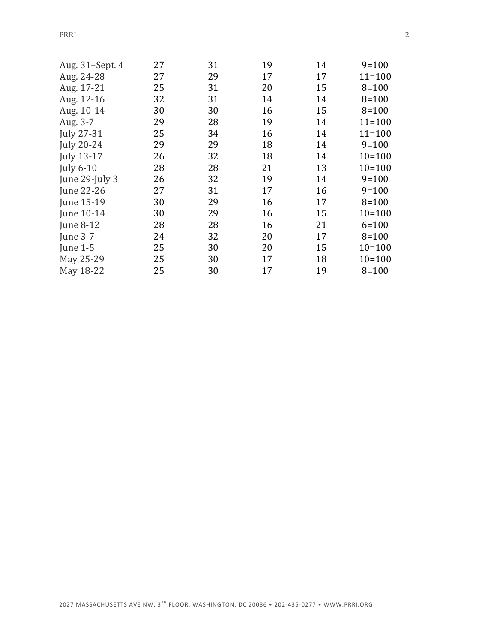PRRI 2

| Aug. 31-Sept. 4   | 27 | 31 | 19 | 14 | $9=100$    |
|-------------------|----|----|----|----|------------|
| Aug. 24-28        | 27 | 29 | 17 | 17 | $11 = 100$ |
| Aug. 17-21        | 25 | 31 | 20 | 15 | $8 = 100$  |
| Aug. 12-16        | 32 | 31 | 14 | 14 | $8 = 100$  |
| Aug. 10-14        | 30 | 30 | 16 | 15 | $8 = 100$  |
| Aug. 3-7          | 29 | 28 | 19 | 14 | $11 = 100$ |
| July 27-31        | 25 | 34 | 16 | 14 | $11 = 100$ |
| July 20-24        | 29 | 29 | 18 | 14 | $9 = 100$  |
| <b>July 13-17</b> | 26 | 32 | 18 | 14 | $10 = 100$ |
| <b>July 6-10</b>  | 28 | 28 | 21 | 13 | $10 = 100$ |
| June 29-July 3    | 26 | 32 | 19 | 14 | $9 = 100$  |
| June 22-26        | 27 | 31 | 17 | 16 | $9 = 100$  |
| June 15-19        | 30 | 29 | 16 | 17 | $8 = 100$  |
| June 10-14        | 30 | 29 | 16 | 15 | $10 = 100$ |
| June 8-12         | 28 | 28 | 16 | 21 | $6 = 100$  |
| June 3-7          | 24 | 32 | 20 | 17 | $8 = 100$  |
| June $1-5$        | 25 | 30 | 20 | 15 | $10 = 100$ |
| May 25-29         | 25 | 30 | 17 | 18 | $10 = 100$ |
| May 18-22         | 25 | 30 | 17 | 19 | $8 = 100$  |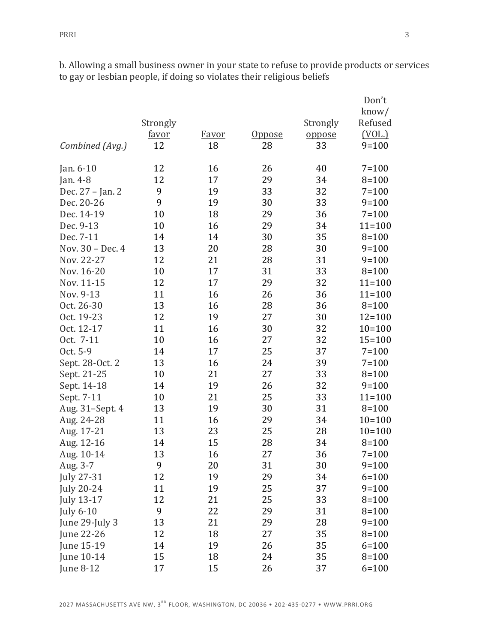b. Allowing a small business owner in your state to refuse to provide products or services to gay or lesbian people, if doing so violates their religious beliefs

|                   |              |              |               |          | Don't<br>know/ |
|-------------------|--------------|--------------|---------------|----------|----------------|
|                   | Strongly     |              |               | Strongly | Refused        |
|                   | <u>favor</u> | <b>Favor</b> | <u>Oppose</u> | oppose   | (VOL.)         |
| Combined (Avg.)   | 12           | 18           | 28            | 33       | $9 = 100$      |
| Jan. $6-10$       | 12           | 16           | 26            | 40       | $7 = 100$      |
| Jan. 4-8          | 12           | 17           | 29            | 34       | $8 = 100$      |
| Dec. 27 - Jan. 2  | 9            | 19           | 33            | 32       | $7 = 100$      |
| Dec. 20-26        | 9            | 19           | 30            | 33       | $9 = 100$      |
| Dec. 14-19        | 10           | 18           | 29            | 36       | $7 = 100$      |
| Dec. 9-13         | 10           | 16           | 29            | 34       | $11 = 100$     |
| Dec. 7-11         | 14           | 14           | 30            | 35       | $8 = 100$      |
| Nov. 30 - Dec. 4  | 13           | 20           | 28            | 30       | $9 = 100$      |
| Nov. 22-27        | 12           | 21           | 28            | 31       | $9 = 100$      |
| Nov. 16-20        | 10           | 17           | 31            | 33       | $8 = 100$      |
| Nov. 11-15        | 12           | 17           | 29            | 32       | $11 = 100$     |
| Nov. 9-13         | 11           | 16           | 26            | 36       | $11 = 100$     |
| Oct. 26-30        | 13           | 16           | 28            | 36       | $8 = 100$      |
| Oct. 19-23        | 12           | 19           | 27            | 30       | $12 = 100$     |
| Oct. 12-17        | 11           | 16           | 30            | 32       | $10 = 100$     |
| Oct. 7-11         | 10           | 16           | 27            | 32       | $15 = 100$     |
| Oct. 5-9          | 14           | 17           | 25            | 37       | $7 = 100$      |
| Sept. 28-Oct. 2   | 13           | 16           | 24            | 39       | $7 = 100$      |
| Sept. 21-25       | 10           | 21           | 27            | 33       | $8 = 100$      |
| Sept. 14-18       | 14           | 19           | 26            | 32       | $9 = 100$      |
| Sept. 7-11        | 10           | 21           | 25            | 33       | $11 = 100$     |
| Aug. 31-Sept. 4   | 13           | 19           | 30            | 31       | $8 = 100$      |
| Aug. 24-28        | 11           | 16           | 29            | 34       | $10=100$       |
| Aug. 17-21        | 13           | 23           | 25            | 28       | $10=100$       |
| Aug. 12-16        | 14           | 15           | 28            | 34       | $8 = 100$      |
| Aug. 10-14        | 13           | 16           | 27            | 36       | $7 = 100$      |
| Aug. 3-7          | 9            | 20           | 31            | 30       | $9 = 100$      |
| <b>July 27-31</b> | 12           | 19           | 29            | 34       | $6 = 100$      |
| <b>July 20-24</b> | 11           | 19           | 25            | 37       | $9 = 100$      |
| July 13-17        | 12           | 21           | 25            | 33       | $8 = 100$      |
| <b>July 6-10</b>  | 9            | 22           | 29            | 31       | $8 = 100$      |
| June 29-July 3    | 13           | 21           | 29            | 28       | $9=100$        |
| June 22-26        | 12           | 18           | 27            | 35       | $8 = 100$      |
| June 15-19        | 14           | 19           | 26            | 35       | $6 = 100$      |
| June 10-14        | 15           | 18           | 24            | 35       | $8 = 100$      |
| June 8-12         | 17           | 15           | 26            | 37       | $6 = 100$      |
|                   |              |              |               |          |                |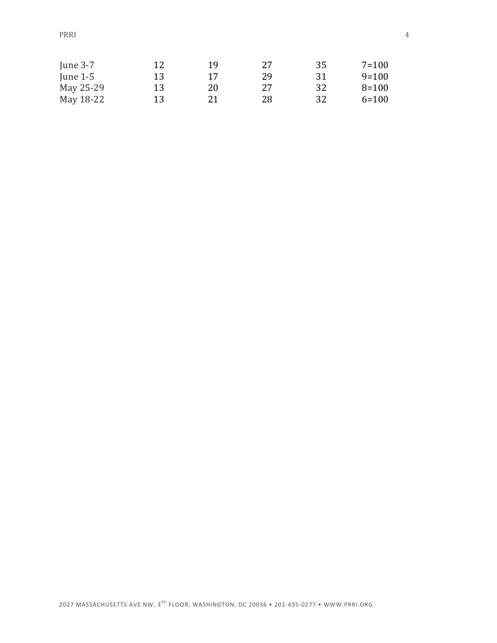PRRI 24

| June $3-7$ | 12 | 19 | 27 | 35 | $7 = 100$ |
|------------|----|----|----|----|-----------|
| June $1-5$ | 13 | 17 | 29 | 31 | $9=100$   |
| May 25-29  | 13 | 20 | 27 | 32 | $8 = 100$ |
| May 18-22  | 13 | 21 | 28 | 32 | $6 = 100$ |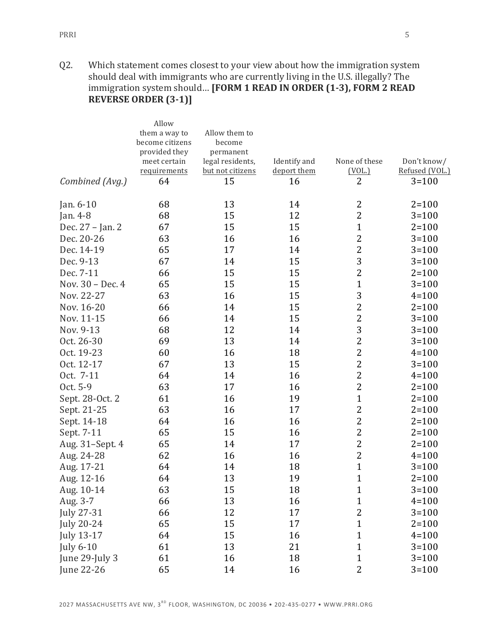Q2. Which statement comes closest to your view about how the immigration system should deal with immigrants who are currently living in the U.S. illegally? The immigration system should... **[FORM 1 READ IN ORDER (1-3), FORM 2 READ REVERSE ORDER (3-1)]** 

|                   | Allow                         |                               |              |                |                |
|-------------------|-------------------------------|-------------------------------|--------------|----------------|----------------|
|                   | them a way to                 | Allow them to                 |              |                |                |
|                   | become citizens               | become                        |              |                |                |
|                   | provided they<br>meet certain | permanent<br>legal residents, | Identify and | None of these  | Don't know/    |
|                   | requirements                  | but not citizens              | deport them  | (VOL.)         | Refused (VOL.) |
| Combined (Avg.)   | 64                            | 15                            | 16           | $\overline{2}$ | $3 = 100$      |
| Jan. 6-10         | 68                            | 13                            | 14           | 2              | $2 = 100$      |
| Jan. 4-8          | 68                            | 15                            | 12           | $\overline{2}$ | $3 = 100$      |
| Dec. 27 - Jan. 2  | 67                            | 15                            | 15           | $\mathbf{1}$   | $2 = 100$      |
| Dec. 20-26        | 63                            | 16                            | 16           | $\overline{2}$ | $3 = 100$      |
|                   |                               |                               |              |                |                |
| Dec. 14-19        | 65                            | 17                            | 14           | $\overline{2}$ | $3 = 100$      |
| Dec. 9-13         | 67                            | 14                            | 15           | 3              | $3 = 100$      |
| Dec. 7-11         | 66                            | 15                            | 15           | $\overline{2}$ | $2 = 100$      |
| Nov. 30 - Dec. 4  | 65                            | 15                            | 15           | $\mathbf{1}$   | $3 = 100$      |
| Nov. 22-27        | 63                            | 16                            | 15           | 3              | $4 = 100$      |
| Nov. 16-20        | 66                            | 14                            | 15           | $\overline{2}$ | $2 = 100$      |
| Nov. 11-15        | 66                            | 14                            | 15           | $\mathbf{2}$   | $3 = 100$      |
| Nov. 9-13         | 68                            | 12                            | 14           | 3              | $3 = 100$      |
| Oct. 26-30        | 69                            | 13                            | 14           | $\overline{c}$ | $3 = 100$      |
| Oct. 19-23        | 60                            | 16                            | 18           | $\overline{2}$ | $4 = 100$      |
| Oct. 12-17        | 67                            | 13                            | 15           | $\overline{2}$ | $3 = 100$      |
| Oct. 7-11         | 64                            | 14                            | 16           | $\overline{2}$ | $4 = 100$      |
| Oct. 5-9          | 63                            | 17                            | 16           | $\overline{2}$ | $2 = 100$      |
| Sept. 28-Oct. 2   | 61                            | 16                            | 19           | $\mathbf{1}$   | $2 = 100$      |
| Sept. 21-25       | 63                            | 16                            | 17           | 2              | $2 = 100$      |
| Sept. 14-18       | 64                            | 16                            | 16           | $\mathbf{2}$   | $2 = 100$      |
| Sept. 7-11        | 65                            | 15                            | 16           | $\overline{2}$ | $2 = 100$      |
| Aug. 31-Sept. 4   | 65                            | 14                            | 17           | $\overline{2}$ | $2 = 100$      |
| Aug. 24-28        | 62                            | 16                            | 16           | $\overline{2}$ | $4 = 100$      |
| Aug. 17-21        | 64                            | 14                            | 18           | $\mathbf{1}$   | $3 = 100$      |
| Aug. 12-16        | 64                            | 13                            | 19           | $\mathbf{1}$   | $2 = 100$      |
| Aug. 10-14        | 63                            | 15                            | 18           | $\mathbf{1}$   | $3 = 100$      |
| Aug. 3-7          | 66                            | 13                            | 16           | $\mathbf{1}$   | $4 = 100$      |
| July 27-31        | 66                            | 12                            | 17           | $\overline{c}$ | $3 = 100$      |
| <b>July 20-24</b> | 65                            | 15                            | 17           | $\mathbf{1}$   | $2 = 100$      |
| July 13-17        | 64                            | 15                            | 16           | $\mathbf{1}$   | $4 = 100$      |
| <b>July 6-10</b>  | 61                            | 13                            | 21           | $\mathbf{1}$   | $3 = 100$      |
| June 29-July 3    | 61                            | 16                            | 18           | $\mathbf{1}$   | $3 = 100$      |
| June 22-26        | 65                            | 14                            | 16           | $\overline{2}$ | $3 = 100$      |
|                   |                               |                               |              |                |                |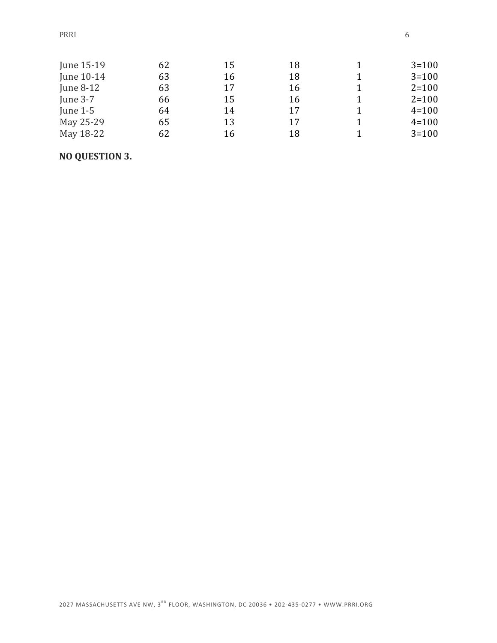| June 15-19 | 62 | 15 | 18 | $3 = 100$ |
|------------|----|----|----|-----------|
| June 10-14 | 63 | 16 | 18 | $3 = 100$ |
| June 8-12  | 63 | 17 | 16 | $2 = 100$ |
| June $3-7$ | 66 | 15 | 16 | $2 = 100$ |
| June $1-5$ | 64 | 14 | 17 | $4 = 100$ |
| May 25-29  | 65 | 13 | 17 | $4 = 100$ |
| May 18-22  | 62 | 16 | 18 | $3 = 100$ |

### **NO QUESTION 3.**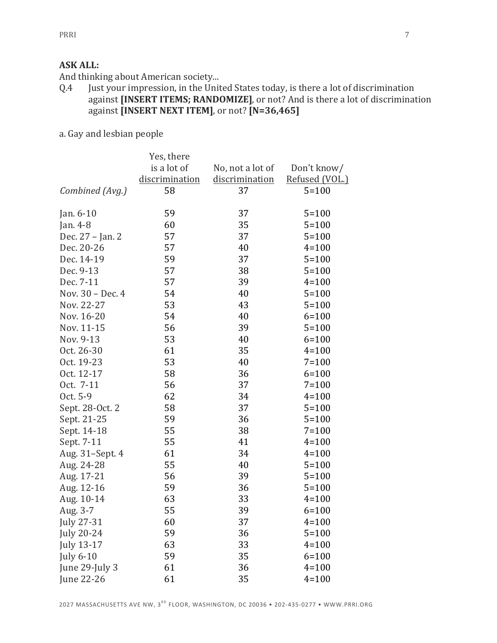#### **ASK ALL:**

And thinking about American society...

- Q.4 Just your impression, in the United States today, is there a lot of discrimination against **[INSERT ITEMS; RANDOMIZE]**, or not? And is there a lot of discrimination against **[INSERT NEXT ITEM]**, or not? **[N=36,465]**
- a. Gay and lesbian people

|                   | Yes, there     |                  |                |
|-------------------|----------------|------------------|----------------|
|                   | is a lot of    | No, not a lot of | Don't know/    |
|                   | discrimination | discrimination   | Refused (VOL.) |
| Combined (Avg.)   | 58             | 37               | $5 = 100$      |
|                   |                |                  |                |
| Jan. $6-10$       | 59             | 37               | $5 = 100$      |
| Jan. 4-8          | 60             | 35               | $5 = 100$      |
| Dec. 27 - Jan. 2  | 57             | 37               | $5 = 100$      |
| Dec. 20-26        | 57             | 40               | $4 = 100$      |
| Dec. 14-19        | 59             | 37               | $5 = 100$      |
| Dec. 9-13         | 57             | 38               | $5 = 100$      |
| Dec. 7-11         | 57             | 39               | $4 = 100$      |
| Nov. 30 - Dec. 4  | 54             | 40               | $5 = 100$      |
| Nov. 22-27        | 53             | 43               | $5 = 100$      |
| Nov. 16-20        | 54             | 40               | $6 = 100$      |
| Nov. 11-15        | 56             | 39               | $5 = 100$      |
| Nov. 9-13         | 53             | 40               | $6 = 100$      |
| Oct. 26-30        | 61             | 35               | $4 = 100$      |
| Oct. 19-23        | 53             | 40               | $7 = 100$      |
| Oct. 12-17        | 58             | 36               | $6 = 100$      |
| Oct. 7-11         | 56             | 37               | $7 = 100$      |
| Oct. 5-9          | 62             | 34               | $4 = 100$      |
| Sept. 28-Oct. 2   | 58             | 37               | $5 = 100$      |
| Sept. 21-25       | 59             | 36               | $5 = 100$      |
| Sept. 14-18       | 55             | 38               | $7 = 100$      |
| Sept. 7-11        | 55             | 41               | $4 = 100$      |
| Aug. 31-Sept. 4   | 61             | 34               | $4 = 100$      |
| Aug. 24-28        | 55             | 40               | $5 = 100$      |
| Aug. 17-21        | 56             | 39               | $5 = 100$      |
| Aug. 12-16        | 59             | 36               | $5 = 100$      |
| Aug. 10-14        | 63             | 33               | $4 = 100$      |
| Aug. 3-7          | 55             | 39               | $6 = 100$      |
| <b>July 27-31</b> | 60             | 37               | $4 = 100$      |
| <b>July 20-24</b> | 59             | 36               | $5 = 100$      |
| <b>July 13-17</b> | 63             | 33               | $4 = 100$      |
| <b>July 6-10</b>  | 59             | 35               | $6 = 100$      |
| June 29-July 3    | 61             | 36               | $4 = 100$      |
| June 22-26        | 61             | 35               | $4 = 100$      |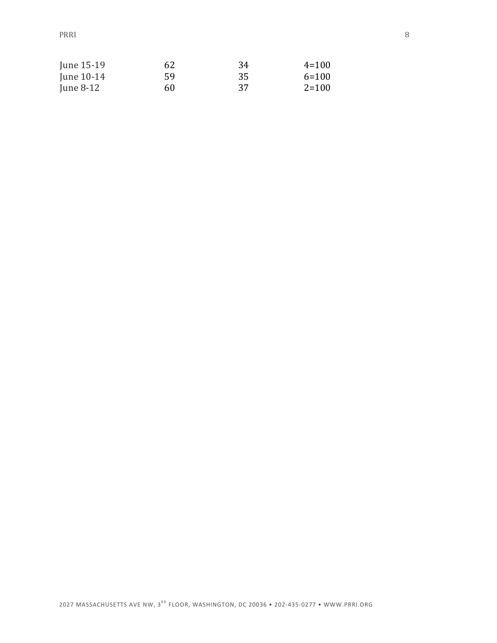PRRI 8

| June 15-19   | 62 | 34 | $4 = 100$ |
|--------------|----|----|-----------|
| June $10-14$ | 59 | 35 | $6=100$   |
| June $8-12$  | 60 | 37 | $2 = 100$ |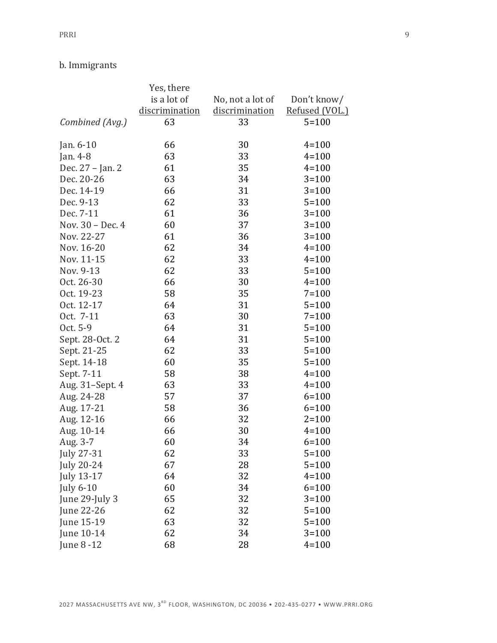### b. Immigrants

|                   | Yes, there     |                  |                |
|-------------------|----------------|------------------|----------------|
|                   | is a lot of    | No, not a lot of | Don't know/    |
|                   | discrimination | discrimination   | Refused (VOL.) |
| Combined (Avg.)   | 63             | 33               | $5 = 100$      |
|                   |                |                  |                |
| Jan. 6-10         | 66             | 30               | $4 = 100$      |
| Jan. 4-8          | 63             | 33               | $4 = 100$      |
| Dec. 27 - Jan. 2  | 61             | 35               | $4 = 100$      |
| Dec. 20-26        | 63             | 34               | $3 = 100$      |
| Dec. 14-19        | 66             | 31               | $3 = 100$      |
| Dec. 9-13         | 62             | 33               | $5 = 100$      |
| Dec. 7-11         | 61             | 36               | $3 = 100$      |
| Nov. 30 - Dec. 4  | 60             | 37               | $3 = 100$      |
| Nov. 22-27        | 61             | 36               | $3 = 100$      |
| Nov. 16-20        | 62             | 34               | $4 = 100$      |
| Nov. 11-15        | 62             | 33               | $4 = 100$      |
| Nov. 9-13         | 62             | 33               | $5 = 100$      |
| Oct. 26-30        | 66             | 30               | $4 = 100$      |
| Oct. 19-23        | 58             | 35               | $7 = 100$      |
| Oct. 12-17        | 64             | 31               | $5 = 100$      |
| Oct. 7-11         | 63             | 30               | $7 = 100$      |
| Oct. 5-9          | 64             | 31               | $5 = 100$      |
| Sept. 28-Oct. 2   | 64             | 31               | $5 = 100$      |
| Sept. 21-25       | 62             | 33               | $5 = 100$      |
| Sept. 14-18       | 60             | 35               | $5 = 100$      |
| Sept. 7-11        | 58             | 38               | $4 = 100$      |
| Aug. 31-Sept. 4   | 63             | 33               | $4 = 100$      |
| Aug. 24-28        | 57             | 37               | $6 = 100$      |
| Aug. 17-21        | 58             | 36               | $6 = 100$      |
| Aug. 12-16        | 66             | 32               | $2 = 100$      |
| Aug. 10-14        | 66             | 30               | $4 = 100$      |
| Aug. 3-7          | 60             | 34               | $6 = 100$      |
| <b>July 27-31</b> | 62             | 33               | $5 = 100$      |
| <b>July 20-24</b> | 67             | 28               | $5 = 100$      |
| July 13-17        | 64             | 32               | $4 = 100$      |
| <b>July 6-10</b>  | 60             | 34               | $6 = 100$      |
| June 29-July 3    | 65             | 32               | $3 = 100$      |
| June 22-26        | 62             | 32               | $5 = 100$      |
| June 15-19        | 63             | 32               | $5 = 100$      |
| June 10-14        | 62             | 34               | $3 = 100$      |
| June 8-12         | 68             | 28               | $4 = 100$      |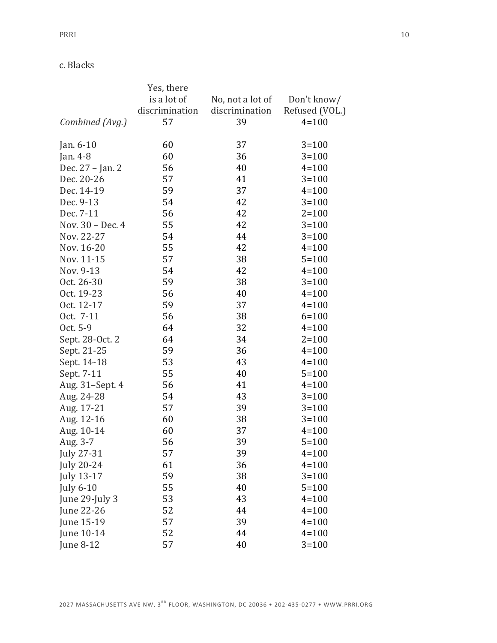c. Blacks

|                   | Yes, there     |                  |                |
|-------------------|----------------|------------------|----------------|
|                   | is a lot of    | No, not a lot of | Don't know/    |
|                   | discrimination | discrimination   | Refused (VOL.) |
| Combined (Avg.)   | 57             | 39               | $4 = 100$      |
|                   |                |                  |                |
| Jan. 6-10         | 60             | 37               | $3 = 100$      |
| Jan. 4-8          | 60             | 36               | $3 = 100$      |
| Dec. 27 - Jan. 2  | 56             | 40               | $4 = 100$      |
| Dec. 20-26        | 57             | 41               | $3 = 100$      |
| Dec. 14-19        | 59             | 37               | $4 = 100$      |
| Dec. 9-13         | 54             | 42               | $3 = 100$      |
| Dec. 7-11         | 56             | 42               | $2 = 100$      |
| Nov. 30 - Dec. 4  | 55             | 42               | $3 = 100$      |
| Nov. 22-27        | 54             | 44               | $3 = 100$      |
| Nov. 16-20        | 55             | 42               | $4 = 100$      |
| Nov. 11-15        | 57             | 38               | $5 = 100$      |
| Nov. 9-13         | 54             | 42               | $4 = 100$      |
| Oct. 26-30        | 59             | 38               | $3 = 100$      |
| Oct. 19-23        | 56             | 40               | $4 = 100$      |
| Oct. 12-17        | 59             | 37               | $4 = 100$      |
| Oct. 7-11         | 56             | 38               | $6 = 100$      |
| Oct. 5-9          | 64             | 32               | $4 = 100$      |
| Sept. 28-Oct. 2   | 64             | 34               | $2 = 100$      |
| Sept. 21-25       | 59             | 36               | $4 = 100$      |
| Sept. 14-18       | 53             | 43               | $4 = 100$      |
| Sept. 7-11        | 55             | 40               | $5 = 100$      |
| Aug. 31-Sept. 4   | 56             | 41               | $4 = 100$      |
| Aug. 24-28        | 54             | 43               | $3 = 100$      |
| Aug. 17-21        | 57             | 39               | $3 = 100$      |
| Aug. 12-16        | 60             | 38               | $3 = 100$      |
| Aug. 10-14        | 60             | 37               | $4 = 100$      |
| Aug. 3-7          | 56             | 39               | $5 = 100$      |
| July 27-31        | 57             | 39               | $4 = 100$      |
| <b>July 20-24</b> | 61             | 36               | $4 = 100$      |
| July 13-17        | 59             | 38               | $3 = 100$      |
| <b>July 6-10</b>  | 55             | 40               | $5 = 100$      |
| June 29-July 3    | 53             | 43               | $4 = 100$      |
| June 22-26        | 52             | 44               | $4 = 100$      |
| June 15-19        | 57             | 39               | $4 = 100$      |
| June 10-14        | 52             | 44               | $4 = 100$      |
| June 8-12         | 57             | 40               | $3 = 100$      |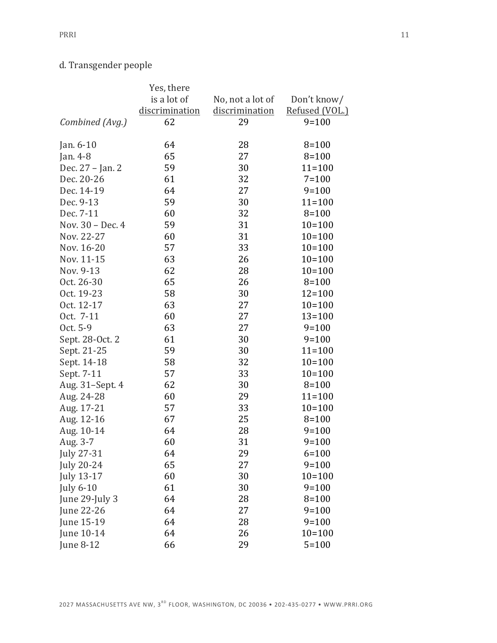## d. Transgender people

|                   | Yes, there     |                  |                |
|-------------------|----------------|------------------|----------------|
|                   | is a lot of    | No, not a lot of | Don't know/    |
|                   | discrimination | discrimination   | Refused (VOL.) |
| Combined (Avg.)   | 62             | 29               | $9 = 100$      |
|                   |                |                  |                |
| Jan. 6-10         | 64             | 28               | $8 = 100$      |
| Jan. 4-8          | 65             | 27               | $8 = 100$      |
| Dec. 27 - Jan. 2  | 59             | 30               | $11 = 100$     |
| Dec. 20-26        | 61             | 32               | $7 = 100$      |
| Dec. 14-19        | 64             | 27               | $9 = 100$      |
| Dec. 9-13         | 59             | 30               | $11 = 100$     |
| Dec. 7-11         | 60             | 32               | $8 = 100$      |
| Nov. 30 - Dec. 4  | 59             | 31               | $10 = 100$     |
| Nov. 22-27        | 60             | 31               | $10 = 100$     |
| Nov. 16-20        | 57             | 33               | $10 = 100$     |
| Nov. 11-15        | 63             | 26               | $10 = 100$     |
| Nov. 9-13         | 62             | 28               | $10 = 100$     |
| Oct. 26-30        | 65             | 26               | $8 = 100$      |
| Oct. 19-23        | 58             | 30               | $12 = 100$     |
| Oct. 12-17        | 63             | 27               | $10 = 100$     |
| Oct. 7-11         | 60             | 27               | $13 = 100$     |
| Oct. 5-9          | 63             | 27               | $9 = 100$      |
| Sept. 28-Oct. 2   | 61             | 30               | $9 = 100$      |
| Sept. 21-25       | 59             | 30               | $11 = 100$     |
| Sept. 14-18       | 58             | 32               | $10 = 100$     |
| Sept. 7-11        | 57             | 33               | $10 = 100$     |
| Aug. 31-Sept. 4   | 62             | 30               | $8 = 100$      |
| Aug. 24-28        | 60             | 29               | $11 = 100$     |
| Aug. 17-21        | 57             | 33               | $10 = 100$     |
| Aug. 12-16        | 67             | 25               | $8 = 100$      |
| Aug. 10-14        | 64             | 28               | $9 = 100$      |
| Aug. 3-7          | 60             | 31               | $9 = 100$      |
| July 27-31        | 64             | 29               | $6 = 100$      |
| <b>July 20-24</b> | 65             | 27               | $9 = 100$      |
| July 13-17        | 60             | 30               | $10 = 100$     |
| <b>July 6-10</b>  | 61             | 30               | $9 = 100$      |
| June 29-July 3    | 64             | 28               | $8 = 100$      |
| June 22-26        | 64             | 27               | $9 = 100$      |
| June 15-19        | 64             | 28               | $9 = 100$      |
| June 10-14        | 64             | 26               | $10 = 100$     |
| June 8-12         | 66             | 29               | $5 = 100$      |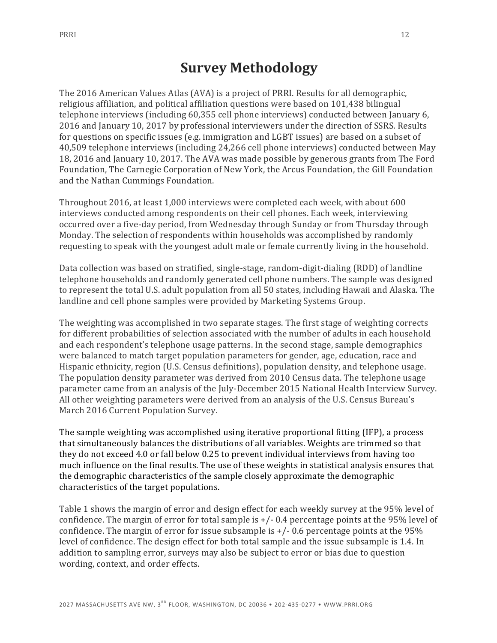# **Survey Methodology**

The 2016 American Values Atlas (AVA) is a project of PRRI. Results for all demographic, religious affiliation, and political affiliation questions were based on 101,438 bilingual telephone interviews (including 60,355 cell phone interviews) conducted between January 6, 2016 and January 10, 2017 by professional interviewers under the direction of SSRS. Results for questions on specific issues (e.g. immigration and LGBT issues) are based on a subset of 40,509 telephone interviews (including 24,266 cell phone interviews) conducted between May 18, 2016 and January 10, 2017. The AVA was made possible by generous grants from The Ford Foundation, The Carnegie Corporation of New York, the Arcus Foundation, the Gill Foundation and the Nathan Cummings Foundation.

Throughout 2016, at least 1,000 interviews were completed each week, with about 600 interviews conducted among respondents on their cell phones. Each week, interviewing occurred over a five-day period, from Wednesday through Sunday or from Thursday through Monday. The selection of respondents within households was accomplished by randomly requesting to speak with the youngest adult male or female currently living in the household.

Data collection was based on stratified, single-stage, random-digit-dialing (RDD) of landline telephone households and randomly generated cell phone numbers. The sample was designed to represent the total U.S. adult population from all 50 states, including Hawaii and Alaska. The landline and cell phone samples were provided by Marketing Systems Group.

The weighting was accomplished in two separate stages. The first stage of weighting corrects for different probabilities of selection associated with the number of adults in each household and each respondent's telephone usage patterns. In the second stage, sample demographics were balanced to match target population parameters for gender, age, education, race and Hispanic ethnicity, region (U.S. Census definitions), population density, and telephone usage. The population density parameter was derived from 2010 Census data. The telephone usage parameter came from an analysis of the July-December 2015 National Health Interview Survey. All other weighting parameters were derived from an analysis of the U.S. Census Bureau's March 2016 Current Population Survey.

The sample weighting was accomplished using iterative proportional fitting (IFP), a process that simultaneously balances the distributions of all variables. Weights are trimmed so that they do not exceed 4.0 or fall below 0.25 to prevent individual interviews from having too much influence on the final results. The use of these weights in statistical analysis ensures that the demographic characteristics of the sample closely approximate the demographic characteristics of the target populations.

Table 1 shows the margin of error and design effect for each weekly survey at the 95% level of confidence. The margin of error for total sample is  $+/-0.4$  percentage points at the 95% level of confidence. The margin of error for issue subsample is  $+/-$  0.6 percentage points at the 95% level of confidence. The design effect for both total sample and the issue subsample is 1.4. In addition to sampling error, surveys may also be subject to error or bias due to question wording, context, and order effects.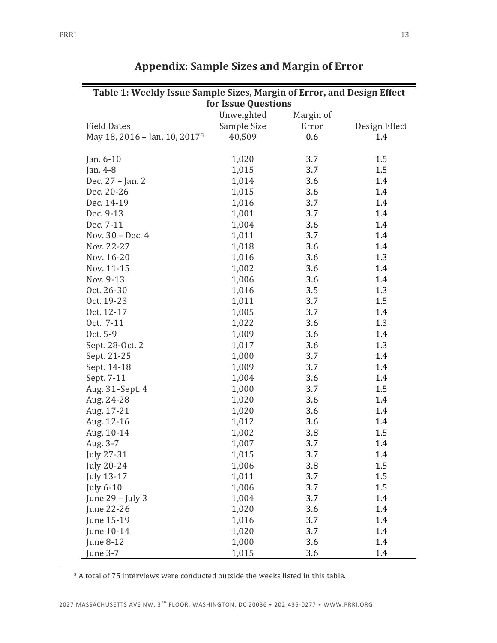| Table 1: Weekly Issue Sample Sizes, Margin of Error, and Design Effect |                     |           |               |  |
|------------------------------------------------------------------------|---------------------|-----------|---------------|--|
|                                                                        | for Issue Questions |           |               |  |
|                                                                        | Unweighted          | Margin of |               |  |
| <b>Field Dates</b>                                                     | Sample Size         | Error     | Design Effect |  |
| May 18, 2016 - Jan. 10, 2017 <sup>3</sup>                              | 40,509              | 0.6       | 1.4           |  |
|                                                                        |                     |           |               |  |
| Jan. $6-10$                                                            | 1,020               | 3.7       | 1.5           |  |
| Jan. 4-8                                                               | 1,015               | 3.7       | 1.5           |  |
| Dec. 27 - Jan. 2                                                       | 1,014               | 3.6       | 1.4           |  |
| Dec. 20-26                                                             | 1,015               | 3.6       | 1.4           |  |
| Dec. 14-19                                                             | 1,016               | 3.7       | 1.4           |  |
| Dec. 9-13                                                              | 1,001               | 3.7       | 1.4           |  |
| Dec. 7-11                                                              | 1,004               | 3.6       | 1.4           |  |
| Nov. 30 - Dec. 4                                                       | 1,011               | 3.7       | 1.4           |  |
| Nov. 22-27                                                             | 1,018               | 3.6       | 1.4           |  |
| Nov. 16-20                                                             | 1,016               | 3.6       | 1.3           |  |
| Nov. 11-15                                                             | 1,002               | 3.6       | 1.4           |  |
| Nov. 9-13                                                              | 1,006               | 3.6       | 1.4           |  |
| Oct. 26-30                                                             | 1,016               | 3.5       | 1.3           |  |
| Oct. 19-23                                                             | 1,011               | 3.7       | 1.5           |  |
| Oct. 12-17                                                             | 1,005               | 3.7       | 1.4           |  |
| Oct. 7-11                                                              | 1,022               | 3.6       | 1.3           |  |
| Oct. 5-9                                                               | 1,009               | 3.6       | 1.4           |  |
| Sept. 28-Oct. 2                                                        | 1,017               | 3.6       | 1.3           |  |
| Sept. 21-25                                                            | 1,000               | 3.7       | 1.4           |  |
| Sept. 14-18                                                            | 1,009               | 3.7       | 1.4           |  |
| Sept. 7-11                                                             | 1,004               | 3.6       | 1.4           |  |
| Aug. 31-Sept. 4                                                        | 1,000               | 3.7       | 1.5           |  |
| Aug. 24-28                                                             | 1,020               | 3.6       | 1.4           |  |
| Aug. 17-21                                                             | 1,020               | 3.6       | 1.4           |  |
| Aug. 12-16                                                             | 1,012               | 3.6       | 1.4           |  |
| Aug. 10-14                                                             | 1,002               | 3.8       | 1.5           |  |
| Aug. 3-7                                                               | 1,007               | 3.7       | 1.4           |  |
| July 27-31                                                             | 1,015               | 3.7       | 1.4           |  |
| <b>July 20-24</b>                                                      | 1,006               | 3.8       | 1.5           |  |
| July 13-17                                                             | 1,011               | 3.7       | 1.5           |  |
| <b>July 6-10</b>                                                       | 1,006               | 3.7       | 1.5           |  |
| June 29 - July 3                                                       | 1,004               | 3.7       | 1.4           |  |
| June 22-26                                                             | 1,020               | 3.6       | 1.4           |  |
| June 15-19                                                             | 1,016               | 3.7       | 1.4           |  |
| June 10-14                                                             | 1,020               | 3.7       | 1.4           |  |
| June 8-12                                                              | 1,000               | 3.6       | 1.4           |  |
| June 3-7                                                               | 1,015               | 3.6       | 1.4           |  |

## **Appendix: Sample Sizes and Margin of Error**

 $3$  A total of 75 interviews were conducted outside the weeks listed in this table.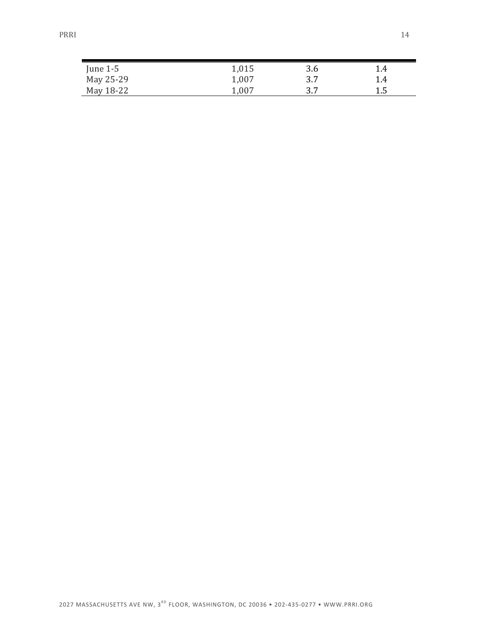| June $1-5$ | 1,015 | 3.6 | 1.4 |
|------------|-------|-----|-----|
| May 25-29  | 1,007 | 3.7 | 1.4 |
| May 18-22  | 1,007 | 3.7 | 1.5 |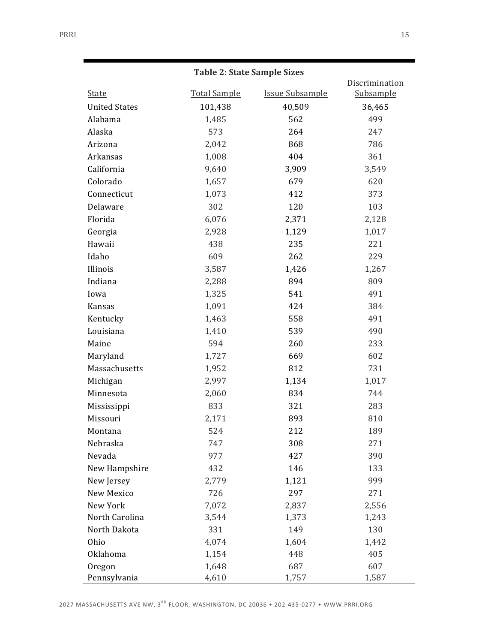#### **Table 2: State Sample Sizes**

|                      |                     |                        | Discrimination   |
|----------------------|---------------------|------------------------|------------------|
| <b>State</b>         | <b>Total Sample</b> | <b>Issue Subsample</b> | <b>Subsample</b> |
| <b>United States</b> | 101,438             | 40,509                 | 36,465           |
| Alabama              | 1,485               | 562                    | 499              |
| Alaska               | 573                 | 264                    | 247              |
| Arizona              | 2,042               | 868                    | 786              |
| Arkansas             | 1,008               | 404                    | 361              |
| California           | 9,640               | 3,909                  | 3,549            |
| Colorado             | 1,657               | 679                    | 620              |
| Connecticut          | 1,073               | 412                    | 373              |
| Delaware             | 302                 | 120                    | 103              |
| Florida              | 6,076               | 2,371                  | 2,128            |
| Georgia              | 2,928               | 1,129                  | 1,017            |
| Hawaii               | 438                 | 235                    | 221              |
| Idaho                | 609                 | 262                    | 229              |
| Illinois             | 3,587               | 1,426                  | 1,267            |
| Indiana              | 2,288               | 894                    | 809              |
| Iowa                 | 1,325               | 541                    | 491              |
| Kansas               | 1,091               | 424                    | 384              |
| Kentucky             | 1,463               | 558                    | 491              |
| Louisiana            | 1,410               | 539                    | 490              |
| Maine                | 594                 | 260                    | 233              |
| Maryland             | 1,727               | 669                    | 602              |
| Massachusetts        | 1,952               | 812                    | 731              |
| Michigan             | 2,997               | 1,134                  | 1,017            |
| Minnesota            | 2,060               | 834                    | 744              |
| Mississippi          | 833                 | 321                    | 283              |
| Missouri             | 2,171               | 893                    | 810              |
| Montana              | 524                 | 212                    | 189              |
| Nebraska             | 747                 | 308                    | 271              |
| Nevada               | 977                 | 427                    | 390              |
| New Hampshire        | 432                 | 146                    | 133              |
| New Jersey           | 2,779               | 1,121                  | 999              |
| New Mexico           | 726                 | 297                    | 271              |
| New York             | 7,072               | 2,837                  | 2,556            |
| North Carolina       | 3,544               | 1,373                  | 1,243            |
| North Dakota         | 331                 | 149                    | 130              |
| Ohio                 | 4,074               | 1,604                  | 1,442            |
| Oklahoma             | 1,154               | 448                    | 405              |
| Oregon               | 1,648               | 687                    | 607              |
| Pennsylvania         | 4,610               | 1,757                  | 1,587            |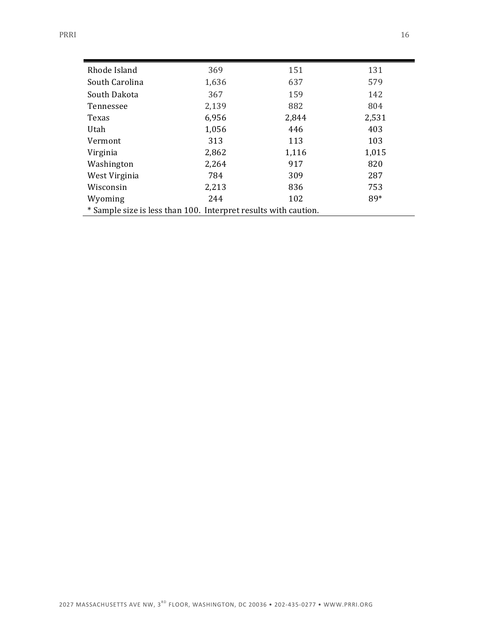| Rhode Island                                                    | 369   | 151   | 131   |
|-----------------------------------------------------------------|-------|-------|-------|
| South Carolina                                                  | 1,636 | 637   | 579   |
| South Dakota                                                    | 367   | 159   | 142   |
| Tennessee                                                       | 2,139 | 882   | 804   |
| Texas                                                           | 6,956 | 2,844 | 2,531 |
| Utah                                                            | 1,056 | 446   | 403   |
| Vermont                                                         | 313   | 113   | 103   |
| Virginia                                                        | 2,862 | 1,116 | 1,015 |
| Washington                                                      | 2,264 | 917   | 820   |
| West Virginia                                                   | 784   | 309   | 287   |
| Wisconsin                                                       | 2,213 | 836   | 753   |
| Wyoming                                                         | 244   | 102   | 89*   |
| * Sample size is less than 100. Interpret results with caution. |       |       |       |